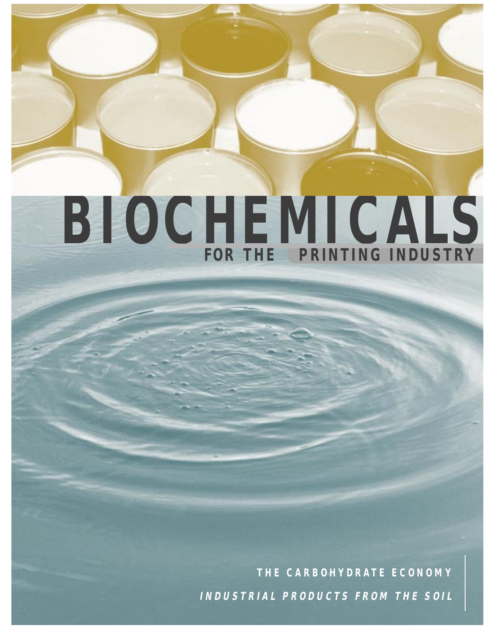# **BIOCHEMICALS FOR THE PRINTING INDUSTRY**

**THE CARBOHYDRATE ECONOMY INDUSTRIAL PRODUCTS FROM THE SOIL**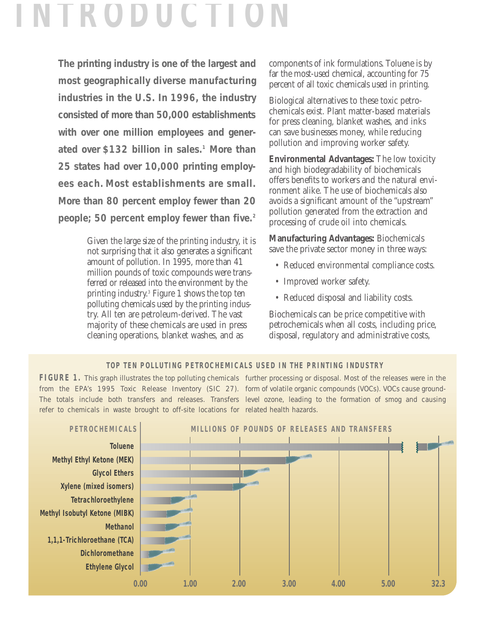## **I**

**The printing industry is one of the largest and most geographically diverse manufacturing industries in the U.S. In 1996, the industry consisted of more than 50,000 establishments with over one million employees and generated over \$132 billion in sales.1 More than 25 states had over 10,000 printing employees each. Most establishments are small. More than 80 percent employ fewer than 20 people; 50 percent employ fewer than five.2**

> Given the large size of the printing industry, it is not surprising that it also generates a significant amount of pollution. In 1995, more than 41 million pounds of toxic compounds were transferred or released into the environment by the printing industry.3 Figure 1 shows the top ten polluting chemicals used by the printing industry. All ten are petroleum-derived. The vast majority of these chemicals are used in press cleaning operations, blanket washes, and as

components of ink formulations. Toluene is by far the most-used chemical, accounting for 75 percent of all toxic chemicals used in printing.

Biological alternatives to these toxic petrochemicals exist. Plant matter-based materials for press cleaning, blanket washes, and inks can save businesses money, while reducing pollution and improving worker safety.

**Environmental Advantages:** The low toxicity and high biodegradability of biochemicals offers benefits to workers and the natural environment alike. The use of biochemicals also avoids a significant amount of the "upstream" pollution generated from the extraction and processing of crude oil into chemicals.

**Manufacturing Advantages:** Biochemicals save the private sector money in three ways:

- Reduced environmental compliance costs.
- Improved worker safety.
- Reduced disposal and liability costs.

Biochemicals can be price competitive with petrochemicals when all costs, including price, disposal, regulatory and administrative costs,

#### **TOP TEN POLLUTING PETROCHEMICALS USED IN THE PRINTING INDUSTRY**

FIGURE 1. This graph illustrates the top polluting chemicals further processing or disposal. Most of the releases were in the from the EPA's 1995 Toxic Release Inventory (SIC 27). form of volatile organic compounds (VOCs). VOCs cause ground-The totals include both transfers and releases. Transfers level ozone, leading to the formation of smog and causing refer to chemicals in waste brought to off-site locations for related health hazards.

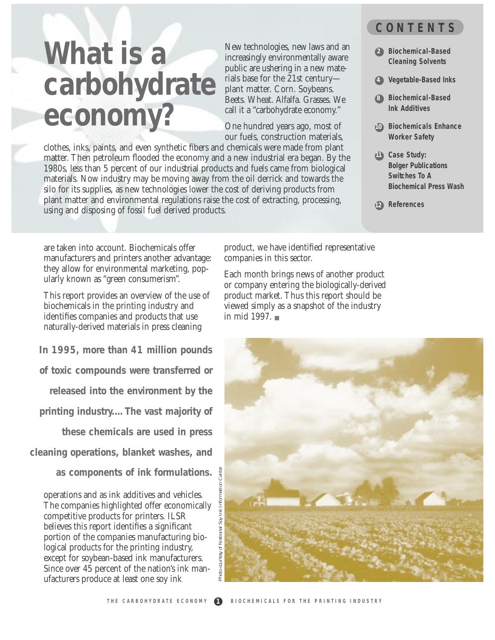## **What is a carbohydrate economy?**

New technologies, new laws and an increasingly environmentally aware public are ushering in a new materials base for the 21st century plant matter. Corn. Soybeans. Beets. Wheat. Alfalfa. Grasses. We call it a "carbohydrate economy."

One hundred years ago, most of our fuels, construction materials,

clothes, inks, paints, and even synthetic fibers and chemicals were made from plant matter. Then petroleum flooded the economy and a new industrial era began. By the 1980s, less than 5 percent of our industrial products and fuels came from biological materials. Now industry may be moving away from the oil derrick and towards the silo for its supplies, as new technologies lower the cost of deriving products from plant matter and environmental regulations raise the cost of extracting, processing, using and disposing of fossil fuel derived products.

#### **CONTENTS**

- **Biochemical-Based 2 Cleaning Solvents**
- **Vegetable-Based Inks 4**
- **Biochemical-Based 8 Ink Additives**
- **Biochemicals Enhance 10 Worker Safety**
- **Case Study: 11 Bolger Publications Switches To A Biochemical Press Wash**

● **References 12**

are taken into account. Biochemicals offer manufacturers and printers another advantage: they allow for environmental marketing, popularly known as "green consumerism".

This report provides an overview of the use of biochemicals in the printing industry and identifies companies and products that use naturally-derived materials in press cleaning

**In 1995, more than 41 million pounds of toxic compounds were transferred or**

**released into the environment by the** 

**printing industry.…The vast majority of**

**these chemicals are used in press** 

**cleaning operations, blanket washes, and**

**as components of ink formulations.**

operations and as ink additives and vehicles. The companies highlighted offer economically competitive products for printers. ILSR believes this report identifies a significant portion of the companies manufacturing biological products for the printing industry, except for soybean-based ink manufacturers. Since over 45 percent of the nation's ink manufacturers produce at least one soy ink

product, we have identified representative companies in this sector.

Each month brings news of another product or company entering the biologically-derived product market. Thus this report should be viewed simply as a snapshot of the industry in mid 1997. ■

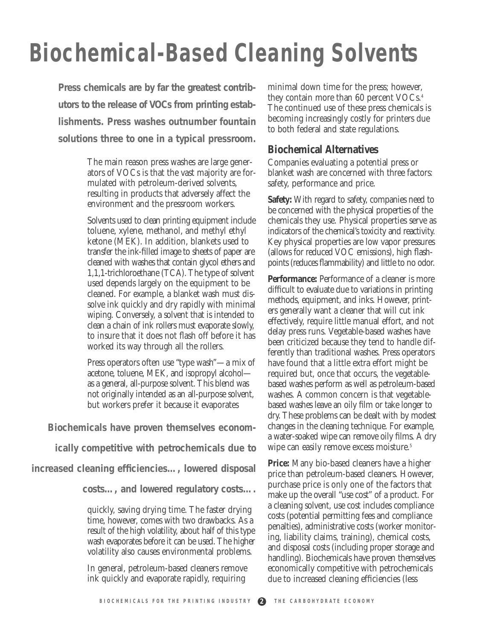## **Biochemical-Based Cleaning Solvents**

**Press chemicals are by far the greatest contributors to the release of VOCs from printing establishments. Press washes outnumber fountain solutions three to one in a typical pressroom.** 

> The main reason press washes are large generators of VOCs is that the vast majority are formulated with petroleum-derived solvents, resulting in products that adversely affect the environment and the pressroom workers.

> Solvents used to clean printing equipment include toluene, xylene, methanol, and methyl ethyl ketone (MEK). In addition, blankets used to transfer the ink-filled image to sheets of paper are cleaned with washes that contain glycol ethers and 1,1,1-trichloroethane (TCA). The type of solvent used depends largely on the equipment to be cleaned. For example, a blanket wash must dissolve ink quickly and dry rapidly with minimal wiping. Conversely, a solvent that is intended to clean a chain of ink rollers must evaporate slowly, to insure that it does not flash off before it has worked its way through all the rollers.

> Press operators often use "type wash"—a mix of acetone, toluene, MEK, and isopropyl alcohol as a general, all-purpose solvent. This blend was not originally intended as an all-purpose solvent, but workers prefer it because it evaporates

**Biochemicals have proven themselves econom-**

**ically competitive with petrochemicals due to**

**increased cleaning efficiencies…, lowered disposal**

**costs…, and lowered regulatory costs….**

quickly, saving drying time. The faster drying time, however, comes with two drawbacks. As a result of the high volatility, about half of this type wash evaporates before it can be used. The higher volatility also causes environmental problems.

In general, petroleum-based cleaners remove ink quickly and evaporate rapidly, requiring

minimal down time for the press; however, they contain more than 60 percent VOCs.<sup>4</sup> The continued use of these press chemicals is becoming increasingly costly for printers due to both federal and state regulations.

#### **Biochemical Alternatives**

Companies evaluating a potential press or blanket wash are concerned with three factors: safety, performance and price.

**Safety:** With regard to safety, companies need to be concerned with the physical properties of the chemicals they use. Physical properties serve as indicators of the chemical's toxicity and reactivity. Key physical properties are low vapor pressures (allows for reduced VOC emissions), high flashpoints (reduces flammability) and little to no odor.

**Performance:** Performance of a cleaner is more difficult to evaluate due to variations in printing methods, equipment, and inks. However, printers generally want a cleaner that will cut ink effectively, require little manual effort, and not delay press runs. Vegetable-based washes have been criticized because they tend to handle differently than traditional washes. Press operators have found that a little extra effort might be required but, once that occurs, the vegetablebased washes perform as well as petroleum-based washes. A common concern is that vegetablebased washes leave an oily film or take longer to dry. These problems can be dealt with by modest changes in the cleaning technique. For example, a water-soaked wipe can remove oily films. A dry wipe can easily remove excess moisture.<sup>5</sup>

**Price:** Many bio-based cleaners have a higher price than petroleum-based cleaners. However, purchase price is only one of the factors that make up the overall "use cost" of a product. For a cleaning solvent, use cost includes compliance costs (potential permitting fees and compliance penalties), administrative costs (worker monitoring, liability claims, training), chemical costs, and disposal costs (including proper storage and handling). Biochemicals have proven themselves economically competitive with petrochemicals due to increased cleaning efficiencies (less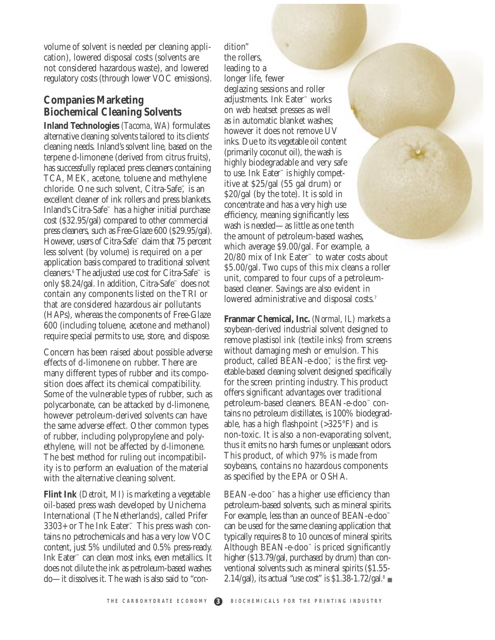volume of solvent is needed per cleaning application), lowered disposal costs (solvents are not considered hazardous waste), and lowered regulatory costs (through lower VOC emissions).

#### **Companies Marketing Biochemical Cleaning Solvents**

**Inland Technologies** *(Tacoma, WA)* formulates alternative cleaning solvents tailored to its clients' cleaning needs. Inland's solvent line, based on the terpene d-limonene (derived from citrus fruits), has successfully replaced press cleaners containing TCA, MEK, acetone, toluene and methylene chloride. One such solvent, Citra-Safe™, is an excellent cleaner of ink rollers and press blankets. Inland's Citra-Safe™ has a higher initial purchase cost (\$32.95/gal) compared to other commercial press cleaners, such as Free-Glaze 600 (\$29.95/gal). However, users of Citra-Safe™ claim that 75 percent less solvent (by volume) is required on a per application basis compared to traditional solvent cleaners.6 The adjusted use cost for Citra-Safe™ is only \$8.24/gal. In addition, Citra-Safe™ does not contain any components listed on the TRI or that are considered hazardous air pollutants (HAPs), whereas the components of Free-Glaze 600 (including toluene, acetone and methanol) require special permits to use, store, and dispose.

Concern has been raised about possible adverse effects of d-limonene on rubber. There are many different types of rubber and its composition does affect its chemical compatibility. Some of the vulnerable types of rubber, such as polycarbonate, can be attacked by d-limonene, however petroleum-derived solvents can have the same adverse effect. Other common types of rubber, including polypropylene and polyethylene, will not be affected by d-limonene. The best method for ruling out incompatibility is to perform an evaluation of the material with the alternative cleaning solvent.

**Flint Ink** *(Detroit, MI)* is marketing a vegetable oil-based press wash developed by Unichema International (The Netherlands), called Prifer 3303+ or The Ink Eater™. This press wash contains no petrochemicals and has a very low VOC content, just 5% undiluted and 0.5% press-ready. Ink Eater™ can clean most inks, even metallics. It does not dilute the ink as petroleum-based washes do—it dissolves it. The wash is also said to "con-

dition" the rollers, leading to a longer life, fewer deglazing sessions and roller adjustments. Ink Eater™ works on web heatset presses as well as in automatic blanket washes; however it does not remove UV inks. Due to its vegetable oil content (primarily coconut oil), the wash is highly biodegradable and very safe to use. Ink Eater™ is highly competitive at \$25/gal (55 gal drum) or \$20/gal (by the tote). It is sold in concentrate and has a very high use efficiency, meaning significantly less wash is needed—as little as one tenth the amount of petroleum-based washes, which average \$9.00/gal. For example, a 20/80 mix of Ink Eater™ to water costs about \$5.00/gal. Two cups of this mix cleans a roller unit, compared to four cups of a petroleumbased cleaner. Savings are also evident in lowered administrative and disposal costs.<sup>7</sup>

**Franmar Chemical, Inc.** *(Normal, IL)* markets a soybean-derived industrial solvent designed to remove plastisol ink (textile inks) from screens without damaging mesh or emulsion. This product, called BEAN-e-doo<sup>™</sup> is the first vegetable-based cleaning solvent designed specifically for the screen printing industry. This product offers significant advantages over traditional petroleum-based cleaners. BEAN-e-doo™ contains no petroleum distillates, is 100% biodegradable, has a high flashpoint (>325°F) and is non-toxic. It is also a non-evaporating solvent, thus it emits no harsh fumes or unpleasant odors. This product, of which 97% is made from soybeans, contains no hazardous components as specified by the EPA or OSHA.

 $BEAN-e-doo<sup>4</sup>$  has a higher use efficiency than petroleum-based solvents, such as mineral spirits. For example, less than an ounce of BEAN-e-doo™ can be used for the same cleaning application that typically requires 8 to 10 ounces of mineral spirits. Although BEAN-e-doo<sup> $M$ </sup> is priced significantly higher (\$13.79/gal, purchased by drum) than conventional solvents such as mineral spirits (\$1.55- 2.14/gal), its actual "use cost" is  $$1.38-1.72/gal$ .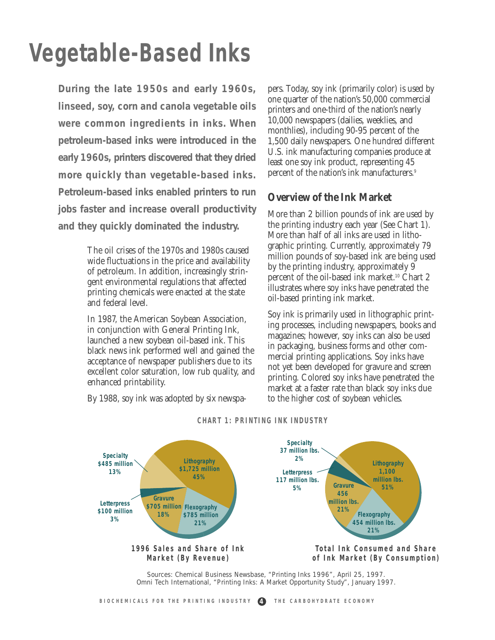## **Vegetable-Based Inks**

**During the late 1950s and early 1960s, linseed, soy, corn and canola vegetable oils were common ingredients in inks. When petroleum-based inks were introduced in the early 1960s, printers discovered that they dried more quickly than vegetable-based inks. Petroleum-based inks enabled printers to run jobs faster and increase overall productivity and they quickly dominated the industry.** 

> The oil crises of the 1970s and 1980s caused wide fluctuations in the price and availability of petroleum. In addition, increasingly stringent environmental regulations that affected printing chemicals were enacted at the state and federal level.

In 1987, the American Soybean Association, in conjunction with General Printing Ink, launched a new soybean oil-based ink. This black news ink performed well and gained the acceptance of newspaper publishers due to its excellent color saturation, low rub quality, and enhanced printability.

By 1988, soy ink was adopted by six newspa-

pers. Today, soy ink (primarily color) is used by one quarter of the nation's 50,000 commercial printers and one-third of the nation's nearly 10,000 newspapers (dailies, weeklies, and monthlies), including 90-95 percent of the 1,500 daily newspapers. One hundred different U.S. ink manufacturing companies produce at least one soy ink product, representing 45 percent of the nation's ink manufacturers.<sup>9</sup>

#### **Overview of the Ink Market**

More than 2 billion pounds of ink are used by the printing industry each year (See Chart 1). More than half of all inks are used in lithographic printing. Currently, approximately 79 million pounds of soy-based ink are being used by the printing industry, approximately 9 percent of the oil-based ink market.10 Chart 2 illustrates where soy inks have penetrated the oil-based printing ink market.

Soy ink is primarily used in lithographic printing processes, including newspapers, books and magazines; however, soy inks can also be used in packaging, business forms and other commercial printing applications. Soy inks have not yet been developed for gravure and screen printing. Colored soy inks have penetrated the market at a faster rate than black soy inks due to the higher cost of soybean vehicles.



#### **CHART 1: PRINTING INK INDUSTRY**

Sources: Chemical Business Newsbase, "Printing Inks 1996", April 25, 1997. Omni Tech International, "Printing Inks: A Market Opportunity Study", January 1997.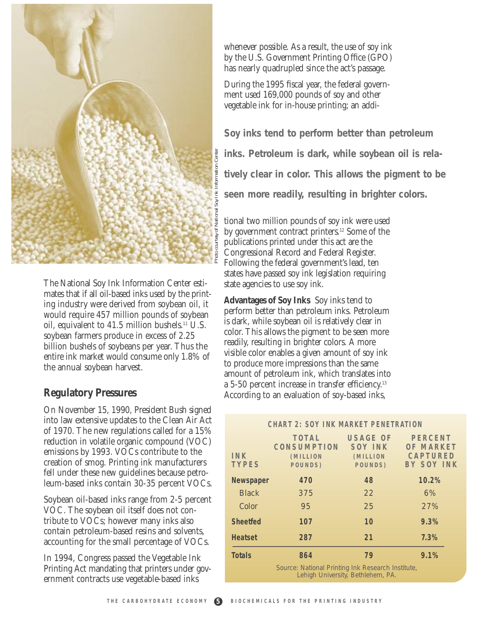

The National Soy Ink Information Center estimates that if all oil-based inks used by the printing industry were derived from soybean oil, it would require 457 million pounds of soybean oil, equivalent to 41.5 million bushels.11 U.S. soybean farmers produce in excess of 2.25 billion bushels of soybeans per year. Thus the entire ink market would consume only 1.8% of the annual soybean harvest.

#### **Regulatory Pressures**

On November 15, 1990, President Bush signed into law extensive updates to the Clean Air Act of 1970. The new regulations called for a 15% reduction in volatile organic compound (VOC) emissions by 1993. VOCs contribute to the creation of smog. Printing ink manufacturers fell under these new guidelines because petroleum-based inks contain 30-35 percent VOCs.

Soybean oil-based inks range from 2-5 percent VOC. The soybean oil itself does not contribute to VOCs; however many inks also contain petroleum-based resins and solvents, accounting for the small percentage of VOCs.

In 1994, Congress passed the Vegetable Ink Printing Act mandating that printers under government contracts use vegetable-based inks

whenever possible. As a result, the use of soy ink by the U.S. Government Printing Office (GPO) has nearly quadrupled since the act's passage.

During the 1995 fiscal year, the federal government used 169,000 pounds of soy and other vegetable ink for in-house printing; an addi-

**Soy inks tend to perform better than petroleum inks. Petroleum is dark, while soybean oil is relatively clear in color. This allows the pigment to be seen more readily, resulting in brighter colors.**

| Center                                                                                                                                                                                                                                             | inks. Petroleum is dark, while soybean oil is rela-                                                                                                                                                                                                                                                                                                                                                                                                                        |                                                          |                                         |                                                                |  |  |
|----------------------------------------------------------------------------------------------------------------------------------------------------------------------------------------------------------------------------------------------------|----------------------------------------------------------------------------------------------------------------------------------------------------------------------------------------------------------------------------------------------------------------------------------------------------------------------------------------------------------------------------------------------------------------------------------------------------------------------------|----------------------------------------------------------|-----------------------------------------|----------------------------------------------------------------|--|--|
|                                                                                                                                                                                                                                                    | tively clear in color. This allows the pigment to be                                                                                                                                                                                                                                                                                                                                                                                                                       |                                                          |                                         |                                                                |  |  |
|                                                                                                                                                                                                                                                    | seen more readily, resulting in brighter colors.                                                                                                                                                                                                                                                                                                                                                                                                                           |                                                          |                                         |                                                                |  |  |
| Photo courtesy of National Soy Ink Information<br><b>Ink Information Center esti-</b>                                                                                                                                                              | tional two million pounds of soy ink were used<br>by government contract printers. <sup>12</sup> Some of the<br>publications printed under this act are the<br>Congressional Record and Federal Register.<br>Following the federal government's lead, ten<br>states have passed soy ink legislation requiring<br>state agencies to use soy ink.                                                                                                                            |                                                          |                                         |                                                                |  |  |
| l-based inks used by the print-<br>derived from soybean oil, it<br>7 million pounds of soybean<br>41.5 million bushels. <sup>11</sup> U.S.<br>produce in excess of 2.25<br>soybeans per year. Thus the<br>would consume only 1.8% of<br>n harvest. | <b>Advantages of Soy Inks</b> Soy inks tend to<br>perform better than petroleum inks. Petroleum<br>is dark, while soybean oil is relatively clear in<br>color. This allows the pigment to be seen more<br>readily, resulting in brighter colors. A more<br>visible color enables a given amount of soy ink<br>to produce more impressions than the same<br>amount of petroleum ink, which translates into<br>a 5-50 percent increase in transfer efficiency. <sup>13</sup> |                                                          |                                         |                                                                |  |  |
| essures                                                                                                                                                                                                                                            |                                                                                                                                                                                                                                                                                                                                                                                                                                                                            | According to an evaluation of soy-based inks,            |                                         |                                                                |  |  |
| , 1990, President Bush signed<br>updates to the Clean Air Act                                                                                                                                                                                      | <b>CHART 2: SOY INK MARKET PENETRATION</b>                                                                                                                                                                                                                                                                                                                                                                                                                                 |                                                          |                                         |                                                                |  |  |
| regulations called for a 15%<br>ile organic compound (VOC)<br>3. VOCs contribute to the<br>Printing ink manufacturers                                                                                                                              | INK<br><b>TYPES</b>                                                                                                                                                                                                                                                                                                                                                                                                                                                        | TOTAL USAGE OF<br>CONSUMPTION<br>(MILLION<br>POUNDS)     | SOY INK<br>POUNDS)                      | <b>PERCENT</b><br>OF MARKET<br>(MILLION CAPTURED<br>BY SOY INK |  |  |
| ew guidelines because petro-<br>contain 30-35 percent VOCs.                                                                                                                                                                                        | Newspaper                                                                                                                                                                                                                                                                                                                                                                                                                                                                  | 470                                                      | 48                                      | 10.2%                                                          |  |  |
|                                                                                                                                                                                                                                                    | <b>Black</b>                                                                                                                                                                                                                                                                                                                                                                                                                                                               | 375                                                      | 22                                      | 6%                                                             |  |  |
| inks range from 2-5 percent<br>an oil itself does not con-                                                                                                                                                                                         | Color                                                                                                                                                                                                                                                                                                                                                                                                                                                                      | 95                                                       | 25                                      | 27%                                                            |  |  |
| however many inks also                                                                                                                                                                                                                             | <b>Sheetfed</b>                                                                                                                                                                                                                                                                                                                                                                                                                                                            | 107                                                      | 10                                      | 9.3%                                                           |  |  |
| n-based resins and solvents,<br>e small percentage of VOCs.                                                                                                                                                                                        | <b>Heatset</b>                                                                                                                                                                                                                                                                                                                                                                                                                                                             | 287                                                      | 21                                      | 7.3%                                                           |  |  |
| s passed the Vegetable Ink<br>lating that printers under gov-<br>s use vegetable-based inks                                                                                                                                                        | <b>Totals</b>                                                                                                                                                                                                                                                                                                                                                                                                                                                              | 864<br>Source: National Printing Ink Research Institute, | 79<br>Lehigh University, Bethlehem, PA. | 9.1%                                                           |  |  |
| THE CARBOHYDRATE ECONOMY<br>6                                                                                                                                                                                                                      |                                                                                                                                                                                                                                                                                                                                                                                                                                                                            | BIOCHEMICALS FOR THE PRINTING INDUSTRY                   |                                         |                                                                |  |  |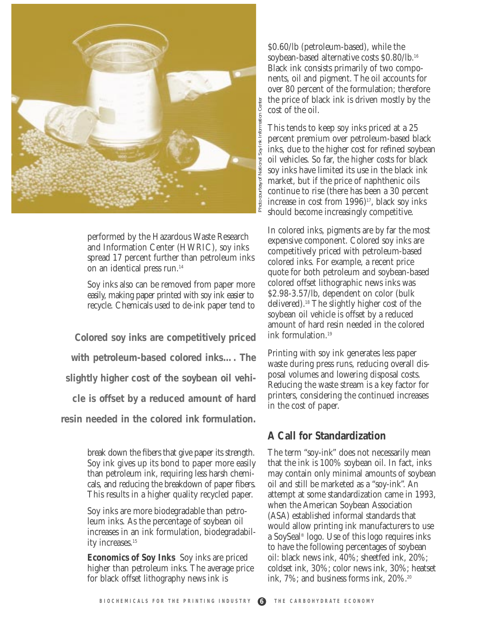

performed by the Hazardous Waste Research and Information Center (HWRIC), soy inks spread 17 percent further than petroleum inks on an identical press run.<sup>14</sup>

Soy inks also can be removed from paper more easily, making paper printed with soy ink easier to recycle. Chemicals used to de-ink paper tend to

**Colored soy inks are competitively priced with petroleum-based colored inks…. The slightly higher cost of the soybean oil vehicle is offset by a reduced amount of hard resin needed in the colored ink formulation.**

> break down the fibers that give paper its strength. Soy ink gives up its bond to paper more easily than petroleum ink, requiring less harsh chemicals, and reducing the breakdown of paper fibers. This results in a higher quality recycled paper.

> Soy inks are more biodegradable than petroleum inks. As the percentage of soybean oil increases in an ink formulation, biodegradability increases.<sup>15</sup>

**Economics of Soy Inks** Soy inks are priced higher than petroleum inks. The average price for black offset lithography news ink is

\$0.60/lb (petroleum-based), while the soybean-based alternative costs \$0.80/lb.16 Black ink consists primarily of two components, oil and pigment. The oil accounts for over 80 percent of the formulation; therefore the price of black ink is driven mostly by the cost of the oil.

This tends to keep soy inks priced at a 25 percent premium over petroleum-based black inks, due to the higher cost for refined soybean oil vehicles. So far, the higher costs for black soy inks have limited its use in the black ink market, but if the price of naphthenic oils continue to rise (there has been a 30 percent increase in cost from  $1996$ <sup>17</sup>, black soy inks should become increasingly competitive.

In colored inks, pigments are by far the most expensive component. Colored soy inks are competitively priced with petroleum-based colored inks. For example, a recent price quote for both petroleum and soybean-based colored offset lithographic news inks was \$2.98-3.57/lb, dependent on color (bulk delivered).18 The slightly higher cost of the soybean oil vehicle is offset by a reduced amount of hard resin needed in the colored ink formulation.19

Printing with soy ink generates less paper waste during press runs, reducing overall disposal volumes and lowering disposal costs. Reducing the waste stream is a key factor for printers, considering the continued increases in the cost of paper.

#### **A Call for Standardization**

The term "soy-ink" does not necessarily mean that the ink is 100% soybean oil. In fact, inks may contain only minimal amounts of soybean oil and still be marketed as a "soy-ink". An attempt at some standardization came in 1993, when the American Soybean Association (ASA) established informal standards that would allow printing ink manufacturers to use a SoySeal® logo. Use of this logo requires inks to have the following percentages of soybean oil: black news ink, 40%; sheetfed ink, 20%; coldset ink, 30%; color news ink, 30%; heatset ink, 7%; and business forms ink, 20%.<sup>20</sup>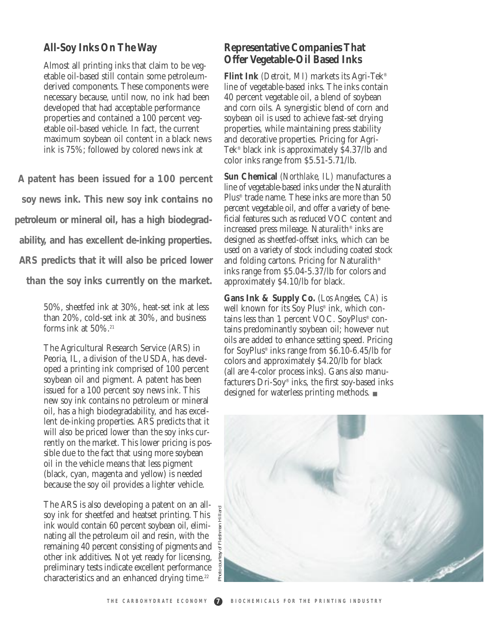#### **All-Soy Inks On The Way**

Almost all printing inks that claim to be vegetable oil-based still contain some petroleumderived components. These components were necessary because, until now, no ink had been developed that had acceptable performance properties and contained a 100 percent vegetable oil-based vehicle. In fact, the current maximum soybean oil content in a black news ink is 75%; followed by colored news ink at

**A patent has been issued for a 100 percent soy news ink. This new soy ink contains no petroleum or mineral oil, has a high biodegradability, and has excellent de-inking properties. ARS predicts that it will also be priced lower**

**than the soy inks currently on the market.**

50%, sheetfed ink at 30%, heat-set ink at less than 20%, cold-set ink at 30%, and business forms ink at  $50\%$ .<sup>21</sup>

The Agricultural Research Service (ARS) in Peoria, IL, a division of the USDA, has developed a printing ink comprised of 100 percent soybean oil and pigment. A patent has been issued for a 100 percent soy news ink. This new soy ink contains no petroleum or mineral oil, has a high biodegradability, and has excellent de-inking properties. ARS predicts that it will also be priced lower than the soy inks currently on the market. This lower pricing is possible due to the fact that using more soybean oil in the vehicle means that less pigment (black, cyan, magenta and yellow) is needed because the soy oil provides a lighter vehicle.

The ARS is also developing a patent on an allsoy ink for sheetfed and heatset printing. This ink would contain 60 percent soybean oil, eliminating all the petroleum oil and resin, with the remaining 40 percent consisting of pigments and other ink additives. Not yet ready for licensing, preliminary tests indicate excellent performance characteristics and an enhanced drying time.<sup>22</sup>

#### **Representative Companies That Offer Vegetable-Oil Based Inks**

**Flint Ink** *(Detroit, MI)* markets its Agri-Tek® line of vegetable-based inks. The inks contain 40 percent vegetable oil, a blend of soybean and corn oils. A synergistic blend of corn and soybean oil is used to achieve fast-set drying properties, while maintaining press stability and decorative properties. Pricing for Agri-Tek® black ink is approximately \$4.37/lb and color inks range from \$5.51-5.71/lb.

**Sun Chemical** *(Northlake, IL)* manufactures a line of vegetable-based inks under the Naturalith Plus® trade name. These inks are more than 50 percent vegetable oil, and offer a variety of beneficial features such as reduced VOC content and increased press mileage. Naturalith® inks are designed as sheetfed-offset inks, which can be used on a variety of stock including coated stock and folding cartons. Pricing for Naturalith® inks range from \$5.04-5.37/lb for colors and approximately \$4.10/lb for black.

**Gans Ink & Supply Co.** *(Los Angeles, CA)* is well known for its Soy Plus® ink, which contains less than 1 percent VOC. SoyPlus® contains predominantly soybean oil; however nut oils are added to enhance setting speed. Pricing for SoyPlus® inks range from \$6.10-6.45/lb for colors and approximately \$4.20/lb for black (all are 4-color process inks). Gans also manufacturers Dri-Soy® inks, the first soy-based inks designed for waterless printing methods. ■

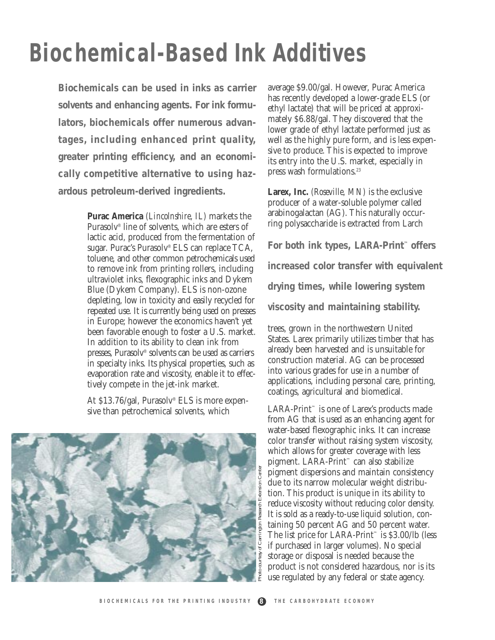### **Biochemical-Based Ink Additives**

**Biochemicals can be used in inks as carrier solvents and enhancing agents. For ink formulators, biochemicals offer numerous advantages, including enhanced print quality, greater printing efficiency, and an economically competitive alternative to using hazardous petroleum-derived ingredients.**

> **Purac America** *(Lincolnshire, IL)* markets the Purasolv® line of solvents, which are esters of lactic acid, produced from the fermentation of sugar. Purac's Purasolv® ELS can replace TCA, toluene, and other common petrochemicals used to remove ink from printing rollers, including ultraviolet inks, flexographic inks and Dykem Blue (Dykem Company). ELS is non-ozone depleting, low in toxicity and easily recycled for repeated use. It is currently being used on presses in Europe; however the economics haven't yet been favorable enough to foster a U.S. market. In addition to its ability to clean ink from presses, Purasolv® solvents can be used as carriers in specialty inks. Its physical properties, such as evaporation rate and viscosity, enable it to effectively compete in the jet-ink market.

At \$13.76/gal, Purasolv® ELS is more expensive than petrochemical solvents, which



average \$9.00/gal. However, Purac America has recently developed a lower-grade ELS (or ethyl lactate) that will be priced at approximately \$6.88/gal. They discovered that the lower grade of ethyl lactate performed just as well as the highly pure form, and is less expensive to produce. This is expected to improve its entry into the U.S. market, especially in press wash formulations.<sup>23</sup>

**Larex, Inc.** *(Roseville, MN)* is the exclusive producer of a water-soluble polymer called arabinogalactan (AG). This naturally occurring polysaccharide is extracted from Larch

**For both ink types, LARA-Print™ offers increased color transfer with equivalent drying times, while lowering system viscosity and maintaining stability.** 

trees, grown in the northwestern United States. Larex primarily utilizes timber that has already been harvested and is unsuitable for construction material. AG can be processed into various grades for use in a number of applications, including personal care, printing, coatings, agricultural and biomedical.

LARA-Print™ is one of Larex's products made from AG that is used as an enhancing agent for water-based flexographic inks. It can increase color transfer without raising system viscosity, which allows for greater coverage with less pigment. LARA-Print™ can also stabilize pigment dispersions and maintain consistency due to its narrow molecular weight distribution. This product is unique in its ability to reduce viscosity without reducing color density. It is sold as a ready-to-use liquid solution, containing 50 percent AG and 50 percent water. The list price for LARA-Print™ is \$3.00/lb (less if purchased in larger volumes). No special storage or disposal is needed because the product is not considered hazardous, nor is its use regulated by any federal or state agency.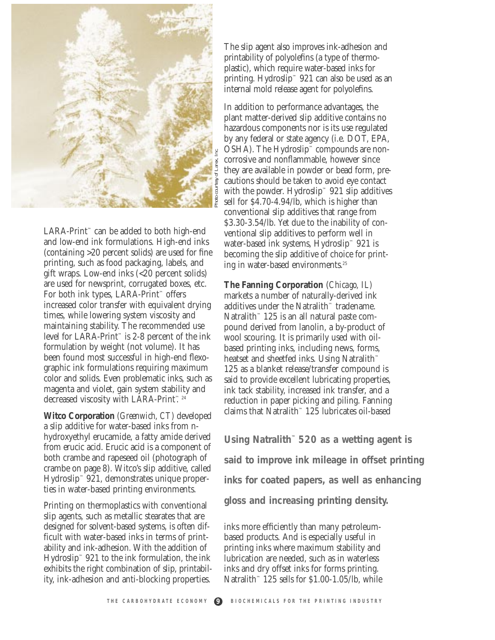

LARA-Print™ can be added to both high-end and low-end ink formulations. High-end inks (containing >20 percent solids) are used for fine printing, such as food packaging, labels, and gift wraps. Low-end inks (<20 percent solids) are used for newsprint, corrugated boxes, etc. For both ink types, LARA-Print™ offers increased color transfer with equivalent drying times, while lowering system viscosity and maintaining stability. The recommended use level for LARA-Print™ is 2-8 percent of the ink formulation by weight (not volume). It has been found most successful in high-end flexographic ink formulations requiring maximum color and solids. Even problematic inks, such as magenta and violet, gain system stability and decreased viscosity with LARA-Print™24

**Witco Corporation** *(Greenwich, CT)* developed a slip additive for water-based inks from nhydroxyethyl erucamide, a fatty amide derived from erucic acid. Erucic acid is a component of both crambe and rapeseed oil (photograph of crambe on page 8). Witco's slip additive, called Hydroslip™ 921, demonstrates unique properties in water-based printing environments.

Printing on thermoplastics with conventional slip agents, such as metallic stearates that are designed for solvent-based systems, is often difficult with water-based inks in terms of printability and ink-adhesion. With the addition of Hydroslip™ 921 to the ink formulation, the ink exhibits the right combination of slip, printability, ink-adhesion and anti-blocking properties.

The slip agent also improves ink-adhesion and printability of polyolefins (a type of thermoplastic), which require water-based inks for printing. Hydroslip™ 921 can also be used as an internal mold release agent for polyolefins.

In addition to performance advantages, the plant matter-derived slip additive contains no hazardous components nor is its use regulated by any federal or state agency (i.e. DOT, EPA, OSHA). The Hydroslip™ compounds are noncorrosive and nonflammable, however since they are available in powder or bead form, precautions should be taken to avoid eye contact with the powder. Hydroslip<sup> $M$ </sup> 921 slip additives sell for \$4.70-4.94/lb, which is higher than conventional slip additives that range from \$3.30-3.54/lb. Yet due to the inability of conventional slip additives to perform well in water-based ink systems, Hydroslip™ 921 is becoming the slip additive of choice for printing in water-based environments.25

**The Fanning Corporation** (*Chicago, IL)* markets a number of naturally-derived ink additives under the Natralith™ tradename. Natralith™ 125 is an all natural paste compound derived from lanolin, a by-product of wool scouring. It is primarily used with oilbased printing inks, including news, forms, heatset and sheetfed inks. Using Natralith™ 125 as a blanket release/transfer compound is said to provide excellent lubricating properties, ink tack stability, increased ink transfer, and a reduction in paper picking and piling. Fanning claims that Natralith™ 125 lubricates oil-based

**Using Natralith™ 520 as a wetting agent is said to improve ink mileage in offset printing inks for coated papers, as well as enhancing gloss and increasing printing density.**

inks more efficiently than many petroleumbased products. And is especially useful in printing inks where maximum stability and lubrication are needed, such as in waterless inks and dry offset inks for forms printing. Natralith™ 125 sells for \$1.00-1.05/lb, while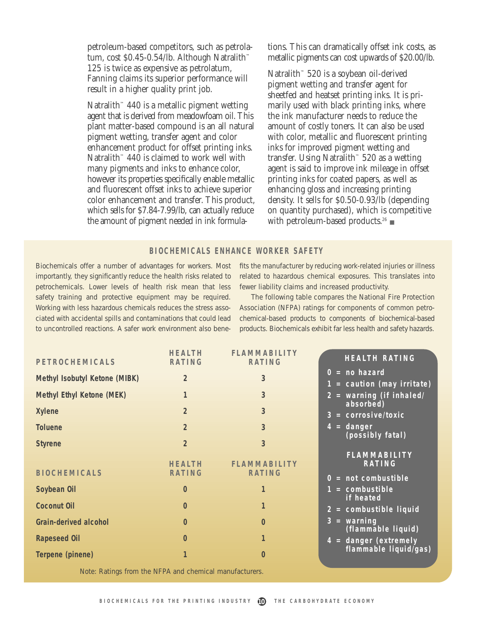petroleum-based competitors, such as petrolatum, cost \$0.45-0.54/lb. Although Natralith™ 125 is twice as expensive as petrolatum, Fanning claims its superior performance will result in a higher quality print job.

Natralith™ 440 is a metallic pigment wetting agent that is derived from meadowfoam oil. This plant matter-based compound is an all natural pigment wetting, transfer agent and color enhancement product for offset printing inks. Natralith™ 440 is claimed to work well with many pigments and inks to enhance color, however its properties specifically enable metallic and fluorescent offset inks to achieve superior color enhancement and transfer. This product, which sells for \$7.84-7.99/lb, can actually reduce the amount of pigment needed in ink formulations. This can dramatically offset ink costs, as metallic pigments can cost upwards of \$20.00/lb.

Natralith™ 520 is a soybean oil-derived pigment wetting and transfer agent for sheetfed and heatset printing inks. It is primarily used with black printing inks, where the ink manufacturer needs to reduce the amount of costly toners. It can also be used with color, metallic and fluorescent printing inks for improved pigment wetting and transfer. Using Natralith™ 520 as a wetting agent is said to improve ink mileage in offset printing inks for coated papers, as well as enhancing gloss and increasing printing density. It sells for \$0.50-0.93/lb (depending on quantity purchased), which is competitive with petroleum-based products.26 ■

#### **BIOCHEMICALS ENHANCE WORKER SAFETY**

Biochemicals offer a number of advantages for workers. Most importantly, they significantly reduce the health risks related to petrochemicals. Lower levels of health risk mean that less safety training and protective equipment may be required. Working with less hazardous chemicals reduces the stress associated with accidental spills and contaminations that could lead to uncontrolled reactions. A safer work environment also bene-

fits the manufacturer by reducing work-related injuries or illness related to hazardous chemical exposures. This translates into fewer liability claims and increased productivity.

The following table compares the National Fire Protection Association (NFPA) ratings for components of common petrochemical-based products to components of biochemical-based products. Biochemicals exhibit far less health and safety hazards.

| PETROCHEMICALS                | <b>HEALTH</b><br>RATING | <b>FLAMMABILITY</b><br>RATING        | <b>HEALTH RATING</b>                          |
|-------------------------------|-------------------------|--------------------------------------|-----------------------------------------------|
| Methyl Isobutyl Ketone (MIBK) | 2                       | 3                                    | $0 = no hazard$<br>1 = caution (may irritate) |
| Methyl Ethyl Ketone (MEK)     |                         | 3                                    | $2 = warning (if inhaled/$<br>absorbed)       |
| <b>Xylene</b>                 | $\overline{2}$          | 3                                    | $3 = corresponding$                           |
| <b>Toluene</b>                | $\overline{2}$          | 3                                    | $4 = \text{danger}$<br>(possibly fatal)       |
| <b>Styrene</b>                | $\overline{2}$          | 3                                    | <b>FLAMMABILITY</b>                           |
| <b>BIOCHEMICALS</b>           | <b>HEALTH</b><br>RATING | <b>FLAMMABILITY</b><br><b>RATING</b> | RATING                                        |
| Soybean Oil                   | $\mathbf 0$             |                                      | $0 = not combustible$<br>$1 =$ combustible    |
| <b>Coconut Oil</b>            | $\Omega$                | 1                                    | if heated<br>$2 =$ combustible liquid         |
| Grain-derived alcohol         | $\mathbf 0$             | $\mathbf{0}$                         | $3 = warning$<br>(flammable liquid)           |
| <b>Rapeseed Oil</b>           | $\mathbf 0$             | 1                                    | $4 =$ danger (extremely                       |
| Terpene (pinene)              |                         | $\mathbf 0$                          | flammable liquid/gas)                         |

Note: Ratings from the NFPA and chemical manufacturers.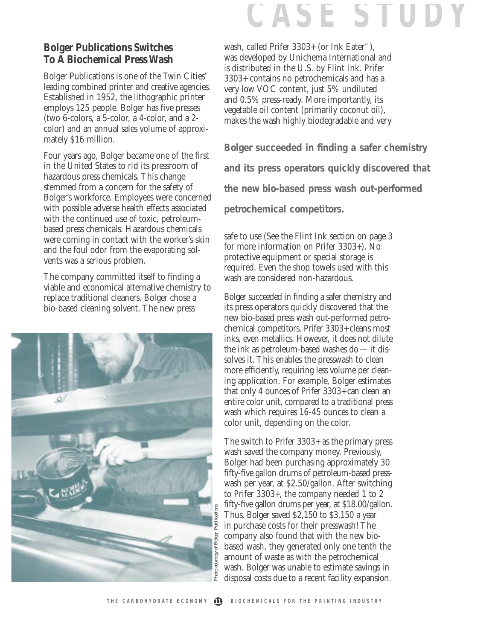## **CASE STUDY**

#### **Bolger Publications Switches To A Biochemical Press Wash**

Bolger Publications is one of the Twin Cities' leading combined printer and creative agencies. Established in 1952, the lithographic printer employs 125 people. Bolger has five presses (two 6-colors, a 5-color, a 4-color, and a 2 color) and an annual sales volume of approximately \$16 million.

Four years ago, Bolger became one of the first in the United States to rid its pressroom of hazardous press chemicals. This change stemmed from a concern for the safety of Bolger's workforce. Employees were concerned with possible adverse health effects associated with the continued use of toxic, petroleumbased press chemicals. Hazardous chemicals were coming in contact with the worker's skin and the foul odor from the evaporating solvents was a serious problem.

The company committed itself to finding a viable and economical alternative chemistry to replace traditional cleaners. Bolger chose a bio-based cleaning solvent. The new press



wash, called Prifer 3303+ (or Ink Eater™), was developed by Unichema International and is distributed in the U.S. by Flint Ink. Prifer 3303+ contains no petrochemicals and has a very low VOC content, just 5% undiluted and 0.5% press-ready. More importantly, its vegetable oil content (primarily coconut oil), makes the wash highly biodegradable and very

**Bolger succeeded in finding a safer chemistry and its press operators quickly discovered that the new bio-based press wash out-performed petrochemical competitors.**

safe to use (See the Flint Ink section on page 3 for more information on Prifer 3303+). No protective equipment or special storage is required. Even the shop towels used with this wash are considered non-hazardous.

Bolger succeeded in finding a safer chemistry and its press operators quickly discovered that the new bio-based press wash out-performed petrochemical competitors. Prifer 3303+ cleans most inks, even metallics. However, it does not dilute the ink as petroleum-based washes do — it dissolves it. This enables the presswash to clean more efficiently, requiring less volume per cleaning application. For example, Bolger estimates that only 4 ounces of Prifer 3303+ can clean an entire color unit, compared to a traditional press wash which requires 16-45 ounces to clean a color unit, depending on the color.

The switch to Prifer 3303+ as the primary press wash saved the company money. Previously, Bolger had been purchasing approximately 30 fifty-five gallon drums of petroleum-based presswash per year, at \$2.50/gallon. After switching to Prifer 3303+, the company needed 1 to 2 fifty-five gallon drums per year, at \$18.00/gallon. Thus, Bolger saved \$2,150 to \$3,150 a year in purchase costs for their presswash! The company also found that with the new biobased wash, they generated only one tenth the amount of waste as with the petrochemical wash. Bolger was unable to estimate savings in disposal costs due to a recent facility expansion.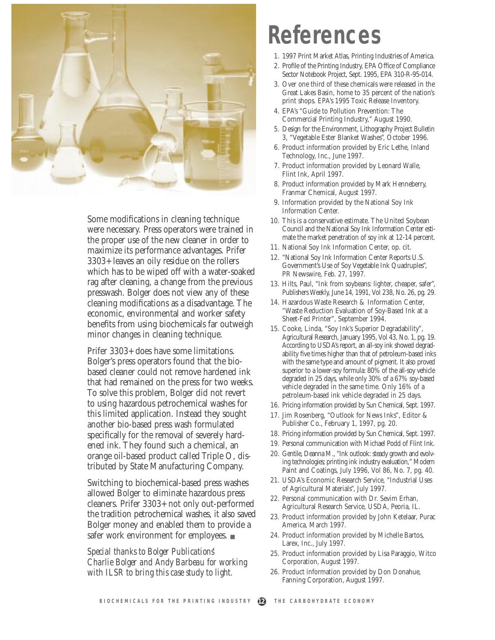

Some modifications in cleaning technique were necessary. Press operators were trained in the proper use of the new cleaner in order to maximize its performance advantages. Prifer 3303+ leaves an oily residue on the rollers which has to be wiped off with a water-soaked rag after cleaning, a change from the previous presswash. Bolger does not view any of these cleaning modifications as a disadvantage. The economic, environmental and worker safety benefits from using biochemicals far outweigh minor changes in cleaning technique.

Prifer 3303+ does have some limitations. Bolger's press operators found that the biobased cleaner could not remove hardened ink that had remained on the press for two weeks. To solve this problem, Bolger did not revert to using hazardous petrochemical washes for this limited application. Instead they sought another bio-based press wash formulated specifically for the removal of severely hardened ink. They found such a chemical, an orange oil-based product called Triple O, distributed by State Manufacturing Company.

Switching to biochemical-based press washes allowed Bolger to eliminate hazardous press cleaners. Prifer 3303+ not only out-performed the tradition petrochemical washes, it also saved Bolger money and enabled them to provide a safer work environment for employees. ■

*Special thanks to Bolger Publications' Charlie Bolger and Andy Barbeau for working with ILSR to bring this case study to light.*

### **References**

- 1. 1997 Print Market Atlas, Printing Industries of America.
- 2. Profile of the Printing Industry, EPA Office of Compliance Sector Notebook Project, Sept. 1995, EPA 310-R-95-014.
- 3. Over one third of these chemicals were released in the Great Lakes Basin, home to 35 percent of the nation's print shops. EPA's 1995 Toxic Release Inventory.
- 4. EPA's "Guide to Pollution Prevention: The Commercial Printing Industry," August 1990.
- 5. Design for the Environment, Lithography Project Bulletin 3, "Vegetable Ester Blanket Washes", October 1996.
- 6. Product information provided by Eric Lethe, Inland Technology, Inc., June 1997.
- 7. Product information provided by Leonard Walle, Flint Ink, April 1997.
- 8. Product information provided by Mark Henneberry, Franmar Chemical, August 1997.
- 9. Information provided by the National Soy Ink Information Center.
- 10. This is a conservative estimate. The United Soybean Council and the National Soy Ink Information Center estimate the market penetration of soy ink at 12-14 percent.
- 11. National Soy Ink Information Center, op. cit.
- 12. "National Soy Ink Information Center Reports U.S. Government's Use of Soy Vegetable Ink Quadruples", PR Newswire, Feb. 27, 1997.
- 13. Hilts, Paul, "Ink from soybeans: lighter, cheaper, safer", Publishers Weekly, June 14, 1991, Vol 238, No. 26, pg. 29.
- 14. Hazardous Waste Research & Information Center, "Waste Reduction Evaluation of Soy-Based Ink at a Sheet-Fed Printer", September 1994.
- 15. Cooke, Linda, "Soy Ink's Superior Degradability", Agricultural Research, January 1995, Vol 43, No. 1, pg. 19. According to USDA's report, an all-soy ink showed degradability five times higher than that of petroleum-based inks with the same type and amount of pigment. It also proved superior to a lower-soy formula: 80% of the all-soy vehicle degraded in 25 days, while only 30% of a 67% soy-based vehicle degraded in the same time. Only 16% of a petroleum-based ink vehicle degraded in 25 days.
- 16. Pricing information provided by Sun Chemical, Sept. 1997.
- 17. Jim Rosenberg, "Outlook for News Inks", Editor & Publisher Co., February 1, 1997, pg. 20.
- 18. Pricing information provided by Sun Chemical, Sept. 1997.
- 19. Personal communication with Michael Podd of Flint Ink.
- 20. Gentile, Deanna M., "Ink outlook: steady growth and evolving technologies; printing ink industry evaluation," Modern Paint and Coatings, July 1996, Vol 86, No. 7, pg. 40.
- 21. USDA's Economic Research Service, "Industrial Uses of Agricultural Materials", July 1997.
- 22. Personal communication with Dr. Sevim Erhan, Agricultural Research Service, USDA, Peoria, IL.
- 23. Product information provided by John Ketelaar, Purac America, March 1997.
- 24. Product information provided by Michelle Bartos, Larex, Inc., July 1997.
- 25. Product information provided by Lisa Paraggio, Witco Corporation, August 1997.
- 26. Product information provided by Don Donahue, Fanning Corporation, August 1997.